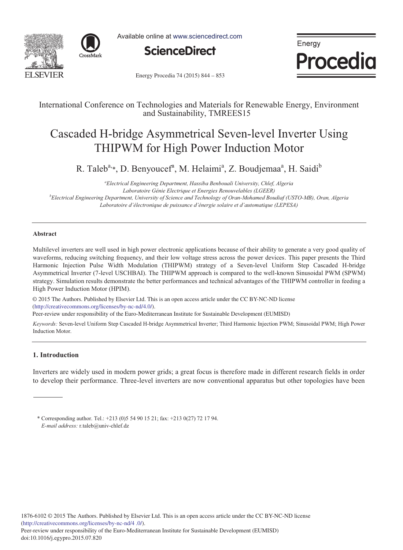



Available online at www.sciencedirect.com



Energy **Procedia** 

Energy Procedia 74 (2015) 844 - 853

### International Conference on Technologies and Materials for Renewable Energy, Environment and Sustainability, TMREES15

# Cascaded H-bridge Asymmetrical Seven-level Inverter Using THIPWM for High Power Induction Motor

R. Taleb<sup>a,</sup>\*, D. Benyoucef<sup>a</sup>, M. Helaimi<sup>a</sup>, Z. Boudjemaa<sup>a</sup>, H. Saidi<sup>b</sup>

*a Electrical Engineering Department, Hassiba Benbouali University, Chlef, Algeria Laboratoire Génie Electrique et Energies Renouvelables (LGEER) b Electrical Engineering Department, University of Science and Technology of Oran-Mohamed Boudiaf (USTO-MB), Oran, Algeria Laboratoire d'électronique de puissance d'énergie solaire et d'automatique (LEPESA)*

#### **Abstract**

Multilevel inverters are well used in high power electronic applications because of their ability to generate a very good quality of waveforms, reducing switching frequency, and their low voltage stress across the power devices. This paper presents the Third Harmonic Injection Pulse Width Modulation (THIPWM) strategy of a Seven-level Uniform Step Cascaded H-bridge Asymmetrical Inverter (7-level USCHBAI). The THIPWM approach is compared to the well-known Sinusoidal PWM (SPWM) strategy. Simulation results demonstrate the better performances and technical advantages of the THIPWM controller in feeding a High Power Induction Motor (HPIM).

© 2015 The Authors. Published by Elsevier Ltd. © 2015 The Authors. Published by Elsevier Ltd. This is an open access article under the CC BY-NC-ND license (http://creativecommons.org/licenses/by-nc-nd/4.0/).

Peer-review under responsibility of the Euro-Mediterranean Institute for Sustainable Development (EUMISD). Peer-review under responsibility of the Euro-Mediterranean Institute for Sustainable Development (EUMISD)

*Keywords:* Seven-level Uniform Step Cascaded H-bridge Asymmetrical Inverter; Third Harmonic Injection PWM; Sinusoidal PWM; High Power Induction Motor.

### **1. Introduction**

Inverters are widely used in modern power grids; a great focus is therefore made in different research fields in order to develop their performance. Three-level inverters are now conventional apparatus but other topologies have been

\* Corresponding author. Tel.: +213 (0)5 54 90 15 21; fax: +213 0(27) 72 17 94. *E-mail address:* r.taleb@univ-chlef.dz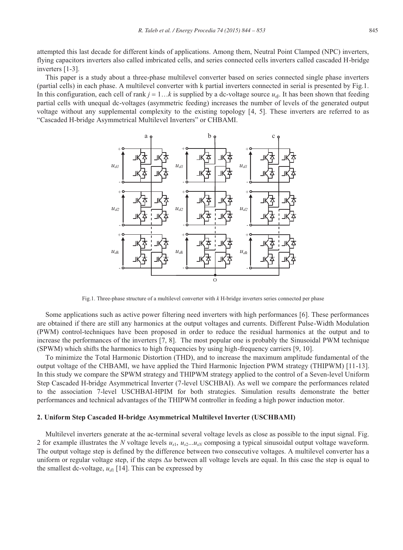attempted this last decade for different kinds of applications. Among them, Neutral Point Clamped (NPC) inverters, flying capacitors inverters also called imbricated cells, and series connected cells inverters called cascaded H-bridge inverters [1-3].

This paper is a study about a three-phase multilevel converter based on series connected single phase inverters (partial cells) in each phase. A multilevel converter with k partial inverters connected in serial is presented by Fig.1. In this configuration, each cell of rank  $j = 1...k$  is supplied by a dc-voltage source  $u_{dj}$ . It has been shown that feeding partial cells with unequal dc-voltages (asymmetric feeding) increases the number of levels of the generated output voltage without any supplemental complexity to the existing topology [4, 5]. These inverters are referred to as "Cascaded H-bridge Asymmetrical Multilevel Inverters" or CHBAMI.



Fig.1. Three-phase structure of a multilevel converter with *k* H-bridge inverters series connected per phase

Some applications such as active power filtering need inverters with high performances [6]. These performances are obtained if there are still any harmonics at the output voltages and currents. Different Pulse-Width Modulation (PWM) control-techniques have been proposed in order to reduce the residual harmonics at the output and to increase the performances of the inverters [7, 8]. The most popular one is probably the Sinusoidal PWM technique (SPWM) which shifts the harmonics to high frequencies by using high-frequency carriers [9, 10].

To minimize the Total Harmonic Distortion (THD), and to increase the maximum amplitude fundamental of the output voltage of the CHBAMI, we have applied the Third Harmonic Injection PWM strategy (THIPWM) [11-13]. In this study we compare the SPWM strategy and THIPWM strategy applied to the control of a Seven-level Uniform Step Cascaded H-bridge Asymmetrical Inverter (7-level USCHBAI). As well we compare the performances related to the association 7-level USCHBAI-HPIM for both strategies. Simulation results demonstrate the better performances and technical advantages of the THIPWM controller in feeding a high power induction motor.

#### **2. Uniform Step Cascaded H-bridge Asymmetrical Multilevel Inverter (USCHBAMI)**

Multilevel inverters generate at the ac-terminal several voltage levels as close as possible to the input signal. Fig. 2 for example illustrates the *N* voltage levels  $u_{s1}$ ,  $u_{s2}$ ... $u_{sN}$  composing a typical sinusoidal output voltage waveform. The output voltage step is defined by the difference between two consecutive voltages. A multilevel converter has a uniform or regular voltage step, if the steps *∆u* between all voltage levels are equal. In this case the step is equal to the smallest dc-voltage,  $u_{d1}$  [14]. This can be expressed by